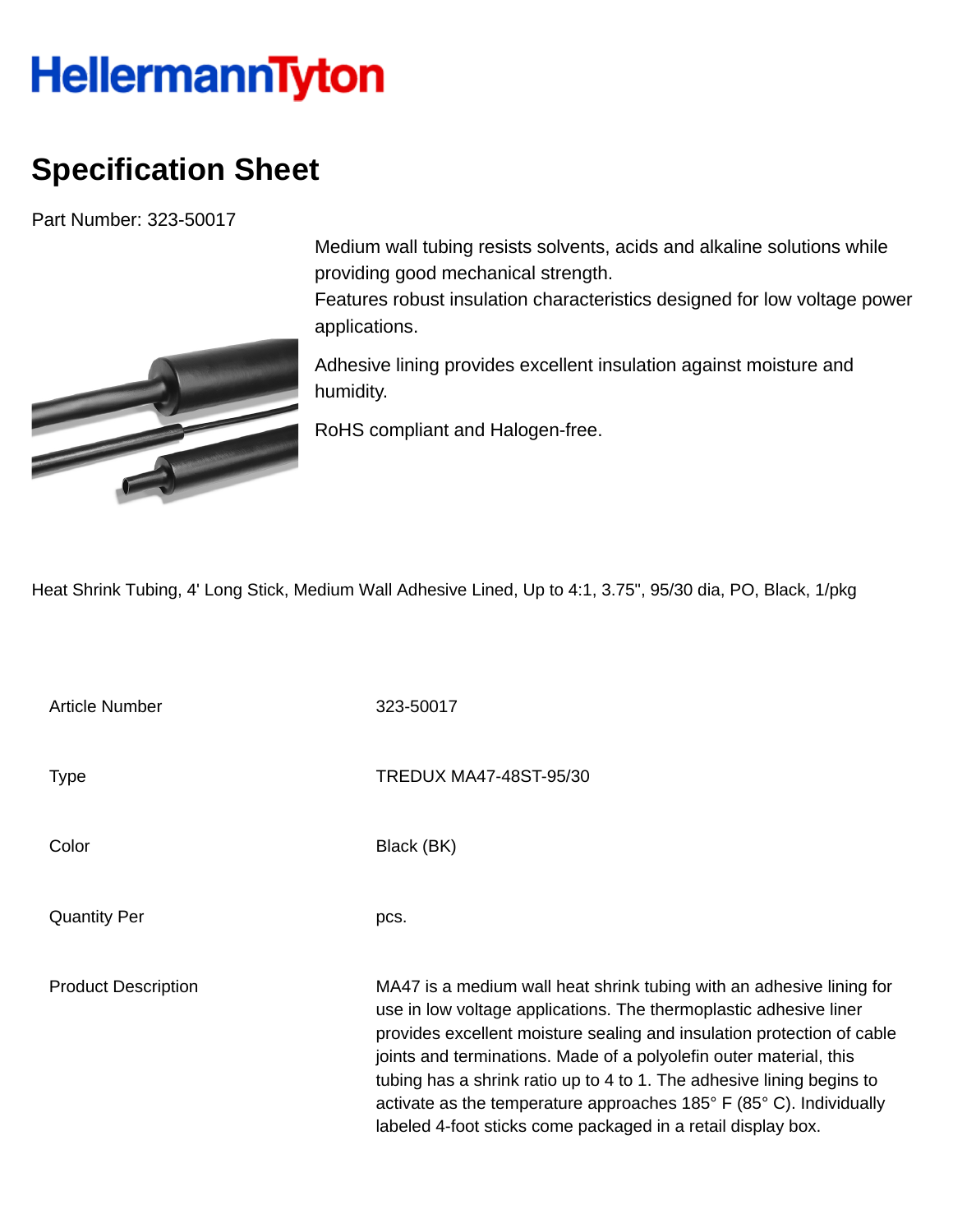## **HellermannTyton**

## **Specification Sheet**

Part Number: 323-50017



Medium wall tubing resists solvents, acids and alkaline solutions while providing good mechanical strength.

Features robust insulation characteristics designed for low voltage power applications.

Adhesive lining provides excellent insulation against moisture and humidity.

RoHS compliant and Halogen-free.

Heat Shrink Tubing, 4' Long Stick, Medium Wall Adhesive Lined, Up to 4:1, 3.75", 95/30 dia, PO, Black, 1/pkg

Article Number 323-50017 Type Type TREDUX MA47-48ST-95/30 Color Black (BK) Quantity Per pcs. Product Description MA47 is a medium wall heat shrink tubing with an adhesive lining for use in low voltage applications. The thermoplastic adhesive liner provides excellent moisture sealing and insulation protection of cable joints and terminations. Made of a polyolefin outer material, this tubing has a shrink ratio up to 4 to 1. The adhesive lining begins to activate as the temperature approaches 185° F (85° C). Individually labeled 4-foot sticks come packaged in a retail display box.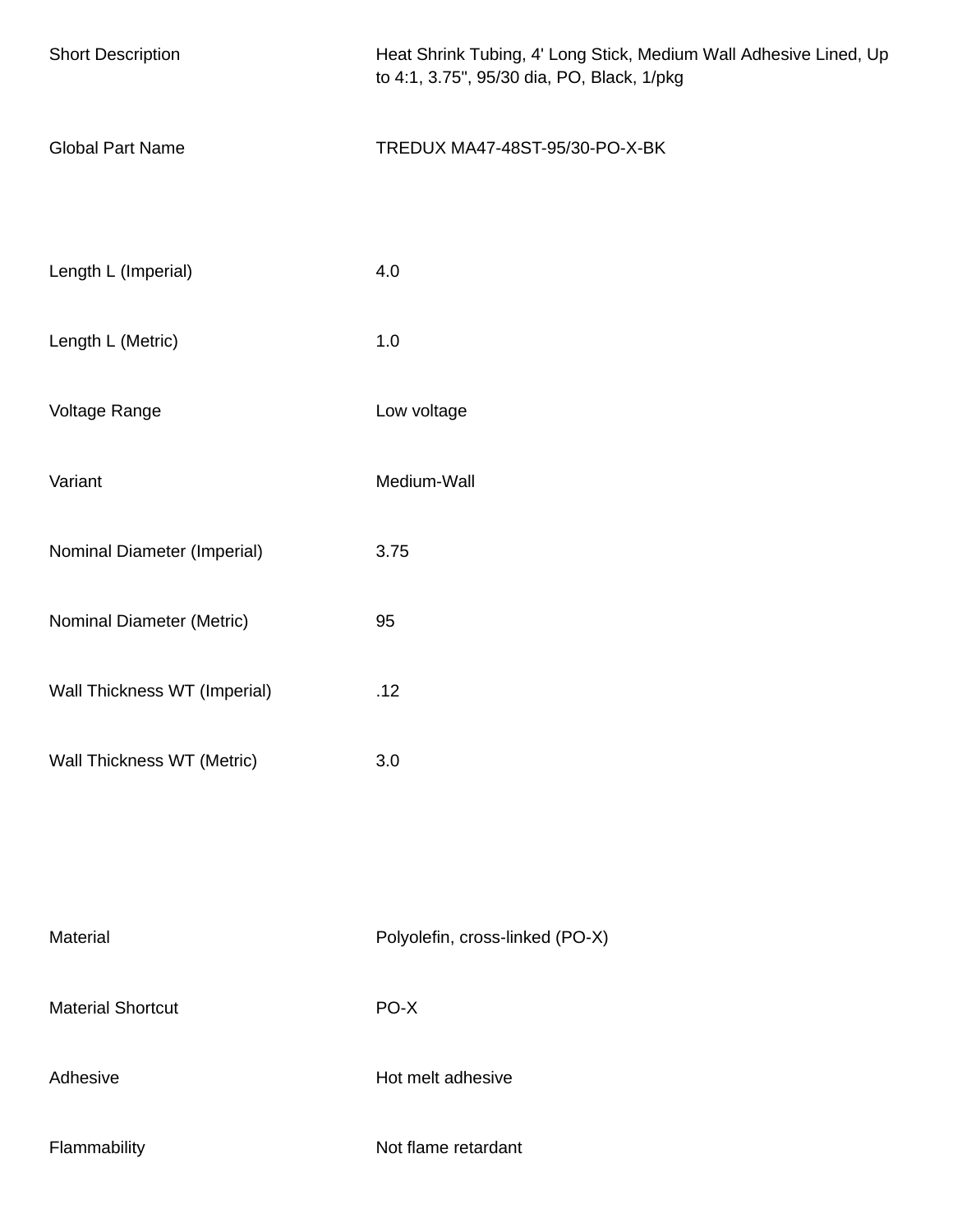| <b>Short Description</b>     | Heat Shrink Tubing, 4' Long Stick, Medium Wall Adhesive Lined, Up<br>to 4:1, 3.75", 95/30 dia, PO, Black, 1/pkg |
|------------------------------|-----------------------------------------------------------------------------------------------------------------|
| <b>Global Part Name</b>      | TREDUX MA47-48ST-95/30-PO-X-BK                                                                                  |
| Length L (Imperial)          | 4.0                                                                                                             |
| Length L (Metric)            | 1.0                                                                                                             |
| Voltage Range                | Low voltage                                                                                                     |
| Variant                      | Medium-Wall                                                                                                     |
| Nominal Diameter (Imperial)  | 3.75                                                                                                            |
| Nominal Diameter (Metric)    | 95                                                                                                              |
| Wall Thickness WT (Imperial) | .12                                                                                                             |
| Wall Thickness WT (Metric)   | 3.0                                                                                                             |
|                              |                                                                                                                 |
| Material                     | Polyolefin, cross-linked (PO-X)                                                                                 |
| <b>Material Shortcut</b>     | PO-X                                                                                                            |
| Adhesive                     | Hot melt adhesive                                                                                               |
| Flammability                 | Not flame retardant                                                                                             |